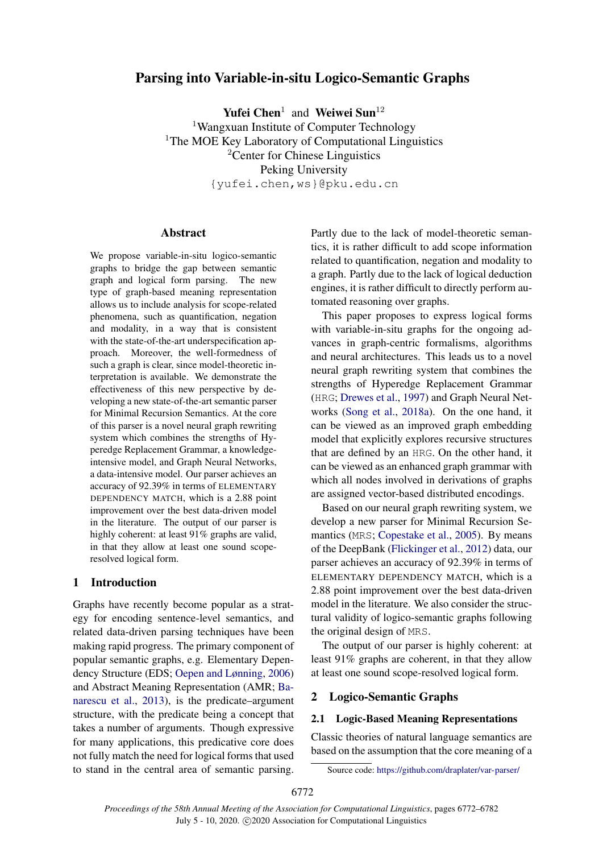# Parsing into Variable-in-situ Logico-Semantic Graphs

Yufei Chen<sup>1</sup> and Weiwei Sun<sup>12</sup>

<sup>1</sup>Wangxuan Institute of Computer Technology <sup>1</sup>The MOE Key Laboratory of Computational Linguistics <sup>2</sup>Center for Chinese Linguistics Peking University {yufei.chen,ws}@pku.edu.cn

## Abstract

We propose variable-in-situ logico-semantic graphs to bridge the gap between semantic graph and logical form parsing. The new type of graph-based meaning representation allows us to include analysis for scope-related phenomena, such as quantification, negation and modality, in a way that is consistent with the state-of-the-art underspecification approach. Moreover, the well-formedness of such a graph is clear, since model-theoretic interpretation is available. We demonstrate the effectiveness of this new perspective by developing a new state-of-the-art semantic parser for Minimal Recursion Semantics. At the core of this parser is a novel neural graph rewriting system which combines the strengths of Hyperedge Replacement Grammar, a knowledgeintensive model, and Graph Neural Networks, a data-intensive model. Our parser achieves an accuracy of 92.39% in terms of ELEMENTARY DEPENDENCY MATCH, which is a 2.88 point improvement over the best data-driven model in the literature. The output of our parser is highly coherent: at least 91% graphs are valid, in that they allow at least one sound scoperesolved logical form.

# 1 Introduction

Graphs have recently become popular as a strategy for encoding sentence-level semantics, and related data-driven parsing techniques have been making rapid progress. The primary component of popular semantic graphs, e.g. Elementary Dependency Structure (EDS; [Oepen and Lønning,](#page-10-0) [2006\)](#page-10-0) and Abstract Meaning Representation (AMR; [Ba](#page-9-0)[narescu et al.,](#page-9-0) [2013\)](#page-9-0), is the predicate–argument structure, with the predicate being a concept that takes a number of arguments. Though expressive for many applications, this predicative core does not fully match the need for logical forms that used to stand in the central area of semantic parsing. Partly due to the lack of model-theoretic semantics, it is rather difficult to add scope information related to quantification, negation and modality to a graph. Partly due to the lack of logical deduction engines, it is rather difficult to directly perform automated reasoning over graphs.

This paper proposes to express logical forms with variable-in-situ graphs for the ongoing advances in graph-centric formalisms, algorithms and neural architectures. This leads us to a novel neural graph rewriting system that combines the strengths of Hyperedge Replacement Grammar (HRG; [Drewes et al.,](#page-9-1) [1997\)](#page-9-1) and Graph Neural Networks [\(Song et al.,](#page-10-1) [2018a\)](#page-10-1). On the one hand, it can be viewed as an improved graph embedding model that explicitly explores recursive structures that are defined by an HRG. On the other hand, it can be viewed as an enhanced graph grammar with which all nodes involved in derivations of graphs are assigned vector-based distributed encodings.

Based on our neural graph rewriting system, we develop a new parser for Minimal Recursion Semantics (MRS; [Copestake et al.,](#page-9-2) [2005\)](#page-9-2). By means of the DeepBank [\(Flickinger et al.,](#page-9-3) [2012\)](#page-9-3) data, our parser achieves an accuracy of 92.39% in terms of ELEMENTARY DEPENDENCY MATCH, which is a 2.88 point improvement over the best data-driven model in the literature. We also consider the structural validity of logico-semantic graphs following the original design of MRS.

The output of our parser is highly coherent: at least 91% graphs are coherent, in that they allow at least one sound scope-resolved logical form[.](#page-0-0)

## 2 Logico-Semantic Graphs

#### 2.1 Logic-Based Meaning Representations

Classic theories of natural language semantics are based on the assumption that the core meaning of a

<span id="page-0-0"></span>Source code: <https://github.com/draplater/var-parser/>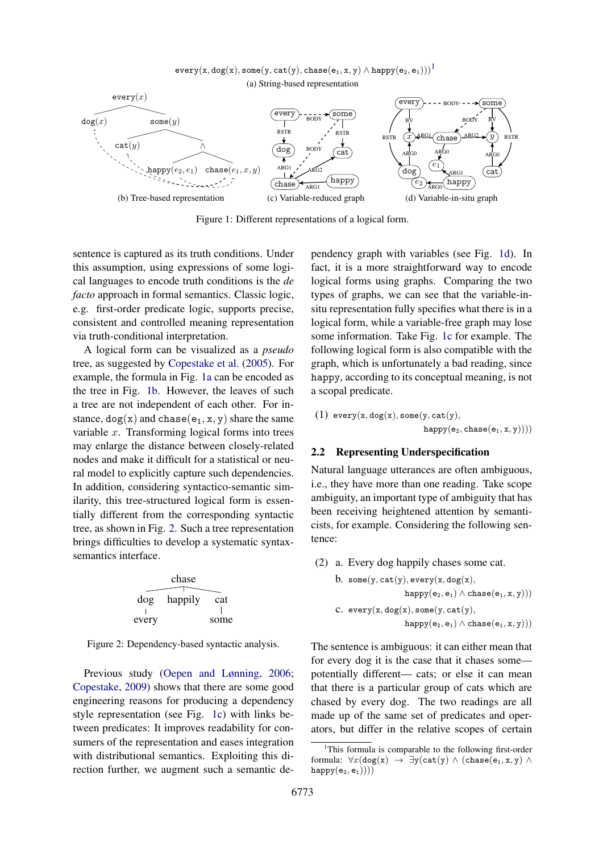$every(x, dog(x), some(y, cat(y), class(e<sub>1</sub>, x, y) \wedge happy(e<sub>2</sub>, e<sub>1</sub>)))<sup>1</sup>$  $every(x, dog(x), some(y, cat(y), class(e<sub>1</sub>, x, y) \wedge happy(e<sub>2</sub>, e<sub>1</sub>)))<sup>1</sup>$  $every(x, dog(x), some(y, cat(y), class(e<sub>1</sub>, x, y) \wedge happy(e<sub>2</sub>, e<sub>1</sub>)))<sup>1</sup>$ (a) String-based representation

<span id="page-1-2"></span><span id="page-1-1"></span>

<span id="page-1-4"></span>Figure 1: Different representations of a logical form.

sentence is captured as its truth conditions. Under this assumption, using expressions of some logical languages to encode truth conditions is the *de facto* approach in formal semantics. Classic logic, e.g. first-order predicate logic, supports precise, consistent and controlled meaning representation via truth-conditional interpretation.

A logical form can be visualized as a *pseudo* tree, as suggested by [Copestake et al.](#page-9-2) [\(2005\)](#page-9-2). For example, the formula in Fig. [1a](#page-1-1) can be encoded as the tree in Fig. [1b.](#page-1-2) However, the leaves of such a tree are not independent of each other. For instance,  $\text{dog}(x)$  and  $\text{chase}(e_1, x, y)$  share the same variable  $x$ . Transforming logical forms into trees may enlarge the distance between closely-related nodes and make it difficult for a statistical or neural model to explicitly capture such dependencies. In addition, considering syntactico-semantic similarity, this tree-structured logical form is essentially different from the corresponding syntactic tree, as shown in Fig. [2.](#page-1-3) Such a tree representation brings difficulties to develop a systematic syntaxsemantics interface.

<span id="page-1-3"></span>

Figure 2: Dependency-based syntactic analysis.

Previous study [\(Oepen and Lønning,](#page-10-0) [2006;](#page-10-0) [Copestake,](#page-9-4) [2009\)](#page-9-4) shows that there are some good engineering reasons for producing a dependency style representation (see Fig. [1c\)](#page-1-4) with links between predicates: It improves readability for consumers of the representation and eases integration with distributional semantics. Exploiting this direction further, we augment such a semantic de<span id="page-1-5"></span>pendency graph with variables (see Fig. [1d\)](#page-1-5). In fact, it is a more straightforward way to encode logical forms using graphs. Comparing the two types of graphs, we can see that the variable-insitu representation fully specifies what there is in a logical form, while a variable-free graph may lose some information. Take Fig. [1c](#page-1-4) for example. The following logical form is also compatible with the graph, which is unfortunately a bad reading, since happy, according to its conceptual meaning, is not a scopal predicate.

<span id="page-1-6"></span>
$$
(1) \ \texttt{every}(x,\texttt{dog}(x),\texttt{some}(y,\texttt{cat}(y),\\ \texttt{happy}(e_2,\texttt{chase}(e_1,x,y))))
$$

#### 2.2 Representing Underspecification

Natural language utterances are often ambiguous, i.e., they have more than one reading. Take scope ambiguity, an important type of ambiguity that has been receiving heightened attention by semanticists, for example. Considering the following sentence:

- <span id="page-1-8"></span><span id="page-1-7"></span>(2) a. Every dog happily chases some cat.
	- b. some(y, cat(y), every(x, dog(x), happy $(e_2, e_1) \wedge \text{chase}(e_1, x, y))$ c.  $every(x, dog(x), some(y, cat(y)),$  $happy(e_2, e_1) \wedge chase(e_1, x, y)))$

The sentence is ambiguous: it can either mean that for every dog it is the case that it chases some potentially different— cats; or else it can mean that there is a particular group of cats which are chased by every dog. The two readings are all made up of the same set of predicates and operators, but differ in the relative scopes of certain

<span id="page-1-0"></span><sup>&</sup>lt;sup>1</sup>This formula is comparable to the following first-order formula:  $\forall x (dog(x) \rightarrow \exists y (cat(y) \land (chase(e_1, x, y) \land$  $\text{happy}(e_2, e_1))))$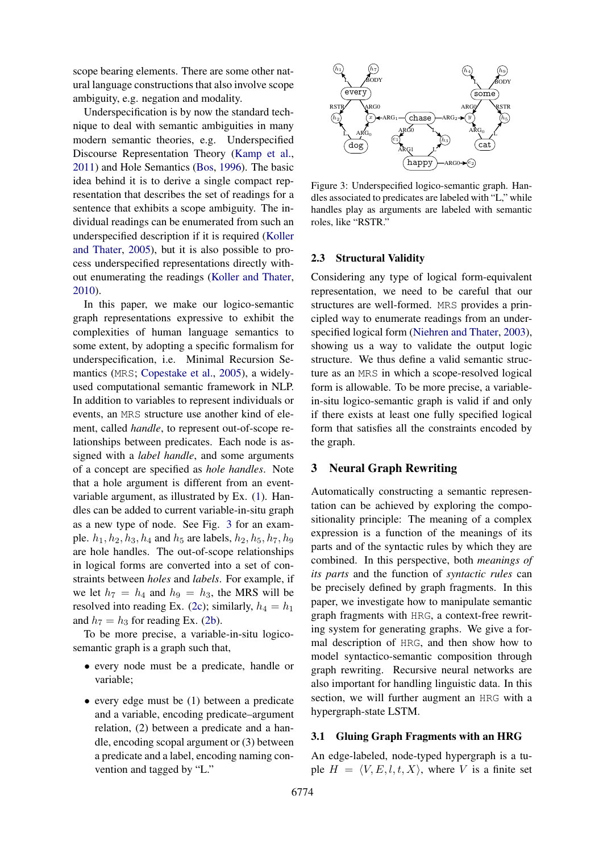scope bearing elements. There are some other natural language constructions that also involve scope ambiguity, e.g. negation and modality.

Underspecification is by now the standard technique to deal with semantic ambiguities in many modern semantic theories, e.g. Underspecified Discourse Representation Theory [\(Kamp et al.,](#page-9-5) [2011\)](#page-9-5) and Hole Semantics [\(Bos,](#page-9-6) [1996\)](#page-9-6). The basic idea behind it is to derive a single compact representation that describes the set of readings for a sentence that exhibits a scope ambiguity. The individual readings can be enumerated from such an underspecified description if it is required [\(Koller](#page-10-2) [and Thater,](#page-10-2) [2005\)](#page-10-2), but it is also possible to process underspecified representations directly without enumerating the readings [\(Koller and Thater,](#page-10-3) [2010\)](#page-10-3).

In this paper, we make our logico-semantic graph representations expressive to exhibit the complexities of human language semantics to some extent, by adopting a specific formalism for underspecification, i.e. Minimal Recursion Semantics (MRS; [Copestake et al.,](#page-9-2) [2005\)](#page-9-2), a widelyused computational semantic framework in NLP. In addition to variables to represent individuals or events, an MRS structure use another kind of element, called *handle*, to represent out-of-scope relationships between predicates. Each node is assigned with a *label handle*, and some arguments of a concept are specified as *hole handles*. Note that a hole argument is different from an eventvariable argument, as illustrated by Ex. [\(1\)](#page-1-6). Handles can be added to current variable-in-situ graph as a new type of node. See Fig. [3](#page-2-0) for an example.  $h_1$ ,  $h_2$ ,  $h_3$ ,  $h_4$  and  $h_5$  are labels,  $h_2$ ,  $h_5$ ,  $h_7$ ,  $h_9$ are hole handles. The out-of-scope relationships in logical forms are converted into a set of constraints between *holes* and *labels*. For example, if we let  $h_7 = h_4$  and  $h_9 = h_3$ , the MRS will be resolved into reading Ex. [\(2c\)](#page-1-7); similarly,  $h_4 = h_1$ and  $h_7 = h_3$  for reading Ex. [\(2b\)](#page-1-8).

To be more precise, a variable-in-situ logicosemantic graph is a graph such that,

- every node must be a predicate, handle or variable;
- every edge must be (1) between a predicate and a variable, encoding predicate–argument relation, (2) between a predicate and a handle, encoding scopal argument or (3) between a predicate and a label, encoding naming convention and tagged by "L."

<span id="page-2-0"></span>

Figure 3: Underspecified logico-semantic graph. Handles associated to predicates are labeled with "L," while handles play as arguments are labeled with semantic roles, like "RSTR."

#### 2.3 Structural Validity

Considering any type of logical form-equivalent representation, we need to be careful that our structures are well-formed. MRS provides a principled way to enumerate readings from an underspecified logical form [\(Niehren and Thater,](#page-10-4) [2003\)](#page-10-4), showing us a way to validate the output logic structure. We thus define a valid semantic structure as an MRS in which a scope-resolved logical form is allowable. To be more precise, a variablein-situ logico-semantic graph is valid if and only if there exists at least one fully specified logical form that satisfies all the constraints encoded by the graph.

#### 3 Neural Graph Rewriting

Automatically constructing a semantic representation can be achieved by exploring the compositionality principle: The meaning of a complex expression is a function of the meanings of its parts and of the syntactic rules by which they are combined. In this perspective, both *meanings of its parts* and the function of *syntactic rules* can be precisely defined by graph fragments. In this paper, we investigate how to manipulate semantic graph fragments with HRG, a context-free rewriting system for generating graphs. We give a formal description of HRG, and then show how to model syntactico-semantic composition through graph rewriting. Recursive neural networks are also important for handling linguistic data. In this section, we will further augment an HRG with a hypergraph-state LSTM.

#### 3.1 Gluing Graph Fragments with an HRG

An edge-labeled, node-typed hypergraph is a tuple  $H = \langle V, E, l, t, X \rangle$ , where V is a finite set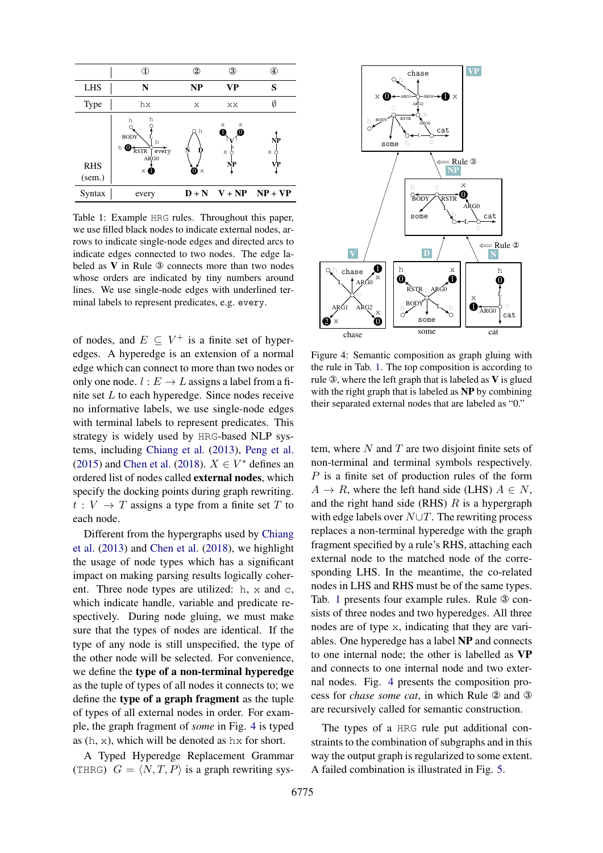<span id="page-3-1"></span>

|                               | D                                                                                 | 2           | 3                           | Œ,                         |
|-------------------------------|-----------------------------------------------------------------------------------|-------------|-----------------------------|----------------------------|
| <b>LHS</b>                    | N                                                                                 | NP          | <b>VP</b>                   | S                          |
| Type                          | hx                                                                                | X           | XX                          |                            |
| <b>RHS</b><br>$(\text{sem.})$ | h<br>h<br><b>BODY</b><br>h<br>$h$ $\bm{0}$<br>every<br><b>RSTR</b><br>ARG0<br>× O | h<br>0<br>X | Х<br>Χ<br>Λ<br>Ф<br>X<br>NP | NP<br>X<br>VР              |
| Syntax                        | every                                                                             |             |                             | $D + N$ $V + NP$ $NP + VP$ |

Table 1: Example HRG rules. Throughout this paper, we use filled black nodes to indicate external nodes, arrows to indicate single-node edges and directed arcs to indicate edges connected to two nodes. The edge labeled as V in Rule ③ connects more than two nodes whose orders are indicated by tiny numbers around lines. We use single-node edges with underlined terminal labels to represent predicates, e.g. every.

of nodes, and  $E \subseteq V^+$  is a finite set of hyperedges. A hyperedge is an extension of a normal edge which can connect to more than two nodes or only one node.  $l : E \to L$  assigns a label from a finite set L to each hyperedge. Since nodes receive no informative labels, we use single-node edges with terminal labels to represent predicates. This strategy is widely used by HRG-based NLP systems, including [Chiang et al.](#page-9-7) [\(2013\)](#page-9-7), [Peng et al.](#page-10-5) [\(2015\)](#page-10-5) and [Chen et al.](#page-9-8) [\(2018\)](#page-9-8).  $X \in V^*$  defines an ordered list of nodes called external nodes, which specify the docking points during graph rewriting.  $t: V \to T$  assigns a type from a finite set T to each node.

Different from the hypergraphs used by [Chiang](#page-9-7) [et al.](#page-9-7) [\(2013\)](#page-9-7) and [Chen et al.](#page-9-8) [\(2018\)](#page-9-8), we highlight the usage of node types which has a significant impact on making parsing results logically coherent. Three node types are utilized: h, x and c, which indicate handle, variable and predicate respectively. During node gluing, we must make sure that the types of nodes are identical. If the type of any node is still unspecified, the type of the other node will be selected. For convenience, we define the type of a non-terminal hyperedge as the tuple of types of all nodes it connects to; we define the type of a graph fragment as the tuple of types of all external nodes in order. For example, the graph fragment of *some* in Fig. [4](#page-3-0) is typed as  $(h, x)$ , which will be denoted as  $hx$  for short.

A Typed Hyperedge Replacement Grammar (THRG)  $G = \langle N, T, P \rangle$  is a graph rewriting sys-

<span id="page-3-0"></span>

Figure 4: Semantic composition as graph gluing with the rule in Tab. [1.](#page-3-1) The top composition is according to rule  $\mathcal{D}$ , where the left graph that is labeled as V is glued with the right graph that is labeled as NP by combining their separated external nodes that are labeled as "0."

tem, where  $N$  and  $T$  are two disjoint finite sets of non-terminal and terminal symbols respectively.  $P$  is a finite set of production rules of the form  $A \rightarrow R$ , where the left hand side (LHS)  $A \in N$ , and the right hand side (RHS)  $R$  is a hypergraph with edge labels over  $N \cup T$ . The rewriting process replaces a non-terminal hyperedge with the graph fragment specified by a rule's RHS, attaching each external node to the matched node of the corresponding LHS. In the meantime, the co-related nodes in LHS and RHS must be of the same types. Tab. [1](#page-3-1) presents four example rules. Rule ③ consists of three nodes and two hyperedges. All three nodes are of type x, indicating that they are variables. One hyperedge has a label NP and connects to one internal node; the other is labelled as VP and connects to one internal node and two external nodes. Fig. [4](#page-3-0) presents the composition process for *chase some cat*, in which Rule ② and ③ are recursively called for semantic construction.

The types of a HRG rule put additional constraints to the combination of subgraphs and in this way the output graph is regularized to some extent. A failed combination is illustrated in Fig. [5.](#page-4-0)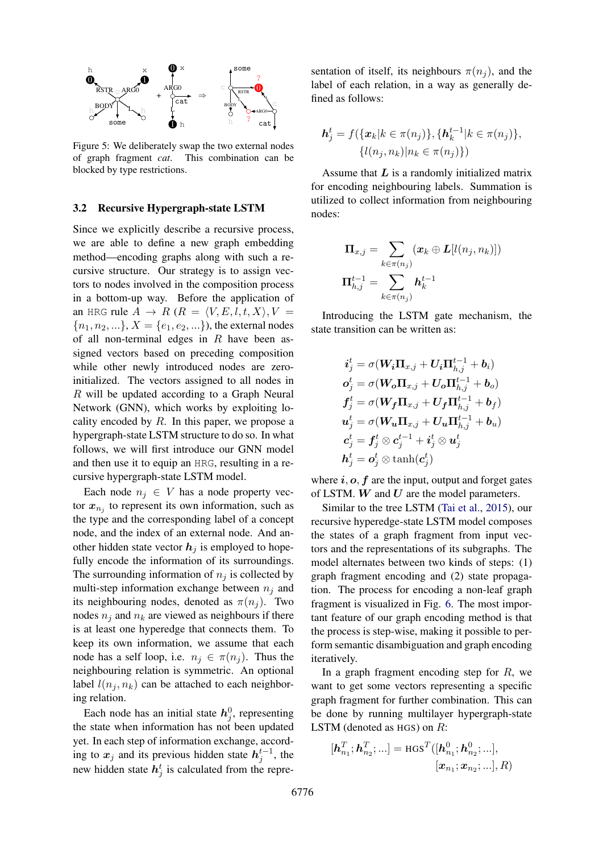<span id="page-4-0"></span>

Figure 5: We deliberately swap the two external nodes of graph fragment *cat*. This combination can be blocked by type restrictions.

## <span id="page-4-1"></span>3.2 Recursive Hypergraph-state LSTM

Since we explicitly describe a recursive process, we are able to define a new graph embedding method—encoding graphs along with such a recursive structure. Our strategy is to assign vectors to nodes involved in the composition process in a bottom-up way. Before the application of an HRG rule  $A \rightarrow R$  ( $R = \langle V, E, l, t, X \rangle, V =$  ${n_1, n_2, ...\}, X = {e_1, e_2, ...\},$  the external nodes of all non-terminal edges in  $R$  have been assigned vectors based on preceding composition while other newly introduced nodes are zeroinitialized. The vectors assigned to all nodes in R will be updated according to a Graph Neural Network (GNN), which works by exploiting locality encoded by  $R$ . In this paper, we propose a hypergraph-state LSTM structure to do so. In what follows, we will first introduce our GNN model and then use it to equip an HRG, resulting in a recursive hypergraph-state LSTM model.

Each node  $n_j \in V$  has a node property vector  $x_{n_j}$  to represent its own information, such as the type and the corresponding label of a concept node, and the index of an external node. And another hidden state vector  $h_i$  is employed to hopefully encode the information of its surroundings. The surrounding information of  $n_j$  is collected by multi-step information exchange between  $n_i$  and its neighbouring nodes, denoted as  $\pi(n_j)$ . Two nodes  $n_i$  and  $n_k$  are viewed as neighbours if there is at least one hyperedge that connects them. To keep its own information, we assume that each node has a self loop, i.e.  $n_j \in \pi(n_j)$ . Thus the neighbouring relation is symmetric. An optional label  $l(n_i, n_k)$  can be attached to each neighboring relation.

Each node has an initial state  $h_j^0$ , representing the state when information has not been updated yet. In each step of information exchange, according to  $x_j$  and its previous hidden state  $h_j^{t-1}$ , the new hidden state  $h_j^t$  is calculated from the repre-

sentation of itself, its neighbours  $\pi(n_i)$ , and the label of each relation, in a way as generally defined as follows:

$$
\mathbf{h}_{j}^{t} = f(\{\mathbf{x}_{k} | k \in \pi(n_{j})\}, \{\mathbf{h}_{k}^{t-1} | k \in \pi(n_{j})\},\
$$

$$
\{l(n_{j}, n_{k}) | n_{k} \in \pi(n_{j})\})
$$

Assume that  $L$  is a randomly initialized matrix for encoding neighbouring labels. Summation is utilized to collect information from neighbouring nodes:

$$
\begin{aligned} \boldsymbol{\Pi}_{x,j} &= \sum_{k \in \pi(n_j)} (\pmb{x}_k \oplus \pmb{L}[l(n_j,n_k)]) \\ \boldsymbol{\Pi}_{h,j}^{t-1} &= \sum_{k \in \pi(n_j)} \pmb{h}_k^{t-1} \end{aligned}
$$

Introducing the LSTM gate mechanism, the state transition can be written as:

$$
\begin{aligned} \boldsymbol{i}^t_j &= \sigma(\boldsymbol{W_i}\Pi_{x,j} + U_i\Pi_{h,j}^{t-1} + b_i) \\ \boldsymbol{o}^t_j &= \sigma(\boldsymbol{W_o}\Pi_{x,j} + U_o\Pi_{h,j}^{t-1} + b_o) \\ \boldsymbol{f}^t_j &= \sigma(\boldsymbol{W_f}\Pi_{x,j} + U_f\Pi_{h,j}^{t-1} + b_f) \\ \boldsymbol{u}^t_j &= \sigma(\boldsymbol{W_u}\Pi_{x,j} + U_u\Pi_{h,j}^{t-1} + b_u) \\ \boldsymbol{c}^t_j &= \boldsymbol{f}^t_j \otimes \boldsymbol{c}^{t-1}_j + \boldsymbol{i}^t_j \otimes \boldsymbol{u}^t_j \\ \boldsymbol{h}^t_j &= \boldsymbol{o}^t_j \otimes \tanh(\boldsymbol{c}^t_j) \end{aligned}
$$

where  $i, o, f$  are the input, output and forget gates of LSTM.  $W$  and  $U$  are the model parameters.

Similar to the tree LSTM [\(Tai et al.,](#page-10-6) [2015\)](#page-10-6), our recursive hyperedge-state LSTM model composes the states of a graph fragment from input vectors and the representations of its subgraphs. The model alternates between two kinds of steps: (1) graph fragment encoding and (2) state propagation. The process for encoding a non-leaf graph fragment is visualized in Fig. [6.](#page-5-0) The most important feature of our graph encoding method is that the process is step-wise, making it possible to perform semantic disambiguation and graph encoding iteratively.

In a graph fragment encoding step for  $R$ , we want to get some vectors representing a specific graph fragment for further combination. This can be done by running multilayer hypergraph-state LSTM (denoted as HGS) on R:

$$
[\bm{h}_{n_1}^T;\bm{h}_{n_2}^T;...]=\text{HGS}^T([\bm{h}_{n_1}^0;\bm{h}_{n_2}^0;...],\\\hspace*{1.5cm}[\bm{x}_{n_1};\bm{x}_{n_2};...],R)
$$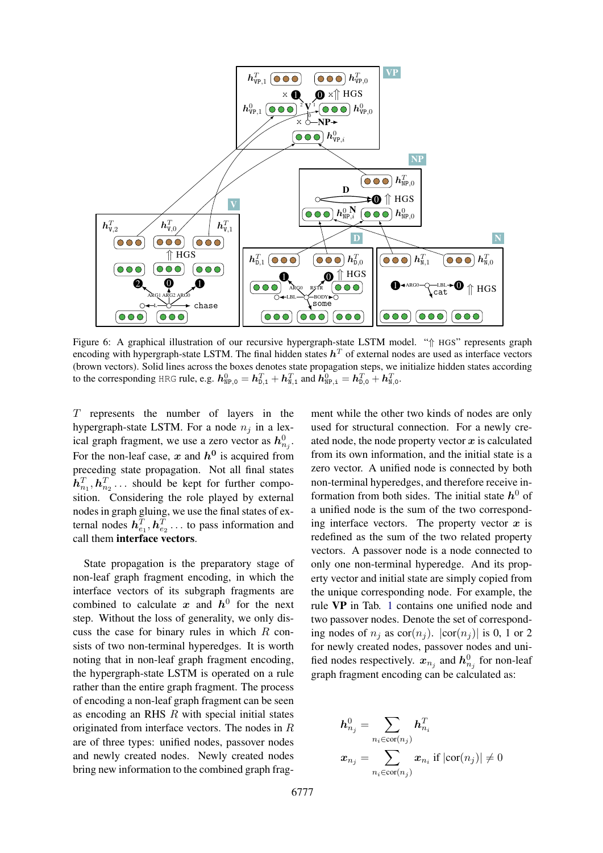<span id="page-5-0"></span>

Figure 6: A graphical illustration of our recursive hypergraph-state LSTM model. "⇑ HGS" represents graph encoding with hypergraph-state LSTM. The final hidden states  $h^T$  of external nodes are used as interface vectors (brown vectors). Solid lines across the boxes denotes state propagation steps, we initialize hidden states according to the corresponding HRG rule, e.g.  $h_{\text{NP},0}^0 = h_{\text{D},1}^T + h_{\text{N},1}^T$  and  $h_{\text{NP},i}^0 = h_{\text{D},0}^T + h_{\text{N},0}^T$ .

T represents the number of layers in the hypergraph-state LSTM. For a node  $n_i$  in a lexical graph fragment, we use a zero vector as  $h_{n_j}^0$ . For the non-leaf case, x and  $h^0$  is acquired from preceding state propagation. Not all final states  $\boldsymbol{h}_{n_1}^T, \boldsymbol{h}_{n_2}^T \dots$  should be kept for further composition. Considering the role played by external nodes in graph gluing, we use the final states of external nodes  $\mathbf{h}_{e_1}^T$ ,  $\mathbf{h}_{e_2}^T$ ... to pass information and call them interface vectors.

State propagation is the preparatory stage of non-leaf graph fragment encoding, in which the interface vectors of its subgraph fragments are combined to calculate x and  $h^0$  for the next step. Without the loss of generality, we only discuss the case for binary rules in which  $R$  consists of two non-terminal hyperedges. It is worth noting that in non-leaf graph fragment encoding, the hypergraph-state LSTM is operated on a rule rather than the entire graph fragment. The process of encoding a non-leaf graph fragment can be seen as encoding an RHS  $R$  with special initial states originated from interface vectors. The nodes in R are of three types: unified nodes, passover nodes and newly created nodes. Newly created nodes bring new information to the combined graph frag-

ment while the other two kinds of nodes are only used for structural connection. For a newly created node, the node property vector  $x$  is calculated from its own information, and the initial state is a zero vector. A unified node is connected by both non-terminal hyperedges, and therefore receive information from both sides. The initial state  $h^0$  of a unified node is the sum of the two corresponding interface vectors. The property vector  $x$  is redefined as the sum of the two related property vectors. A passover node is a node connected to only one non-terminal hyperedge. And its property vector and initial state are simply copied from the unique corresponding node. For example, the rule VP in Tab. [1](#page-3-1) contains one unified node and two passover nodes. Denote the set of corresponding nodes of  $n_i$  as  $\text{cor}(n_i)$ .  $|\text{cor}(n_i)|$  is 0, 1 or 2 for newly created nodes, passover nodes and unified nodes respectively.  $x_{n_j}$  and  $h_{n_j}^0$  for non-leaf graph fragment encoding can be calculated as:

$$
h_{n_j}^0 = \sum_{n_i \in \text{cor}(n_j)} h_{n_i}^T
$$

$$
x_{n_j} = \sum_{n_i \in \text{cor}(n_j)} x_{n_i} \text{ if } |\text{cor}(n_j)| \neq 0
$$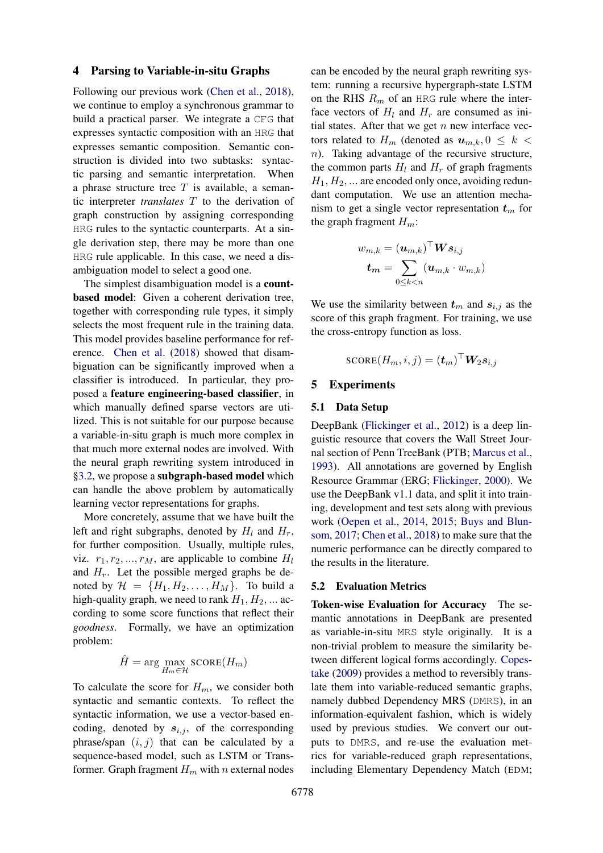#### 4 Parsing to Variable-in-situ Graphs

Following our previous work [\(Chen et al.,](#page-9-8) [2018\)](#page-9-8), we continue to employ a synchronous grammar to build a practical parser. We integrate a CFG that expresses syntactic composition with an HRG that expresses semantic composition. Semantic construction is divided into two subtasks: syntactic parsing and semantic interpretation. When a phrase structure tree  $T$  is available, a semantic interpreter *translates* T to the derivation of graph construction by assigning corresponding HRG rules to the syntactic counterparts. At a single derivation step, there may be more than one HRG rule applicable. In this case, we need a disambiguation model to select a good one.

The simplest disambiguation model is a **count**based model: Given a coherent derivation tree, together with corresponding rule types, it simply selects the most frequent rule in the training data. This model provides baseline performance for reference. [Chen et al.](#page-9-8) [\(2018\)](#page-9-8) showed that disambiguation can be significantly improved when a classifier is introduced. In particular, they proposed a feature engineering-based classifier, in which manually defined sparse vectors are utilized. This is not suitable for our purpose because a variable-in-situ graph is much more complex in that much more external nodes are involved. With the neural graph rewriting system introduced in [§3.2,](#page-4-1) we propose a subgraph-based model which can handle the above problem by automatically learning vector representations for graphs.

More concretely, assume that we have built the left and right subgraphs, denoted by  $H_l$  and  $H_r$ , for further composition. Usually, multiple rules, viz.  $r_1, r_2, ..., r_M$ , are applicable to combine  $H_l$ and  $H_r$ . Let the possible merged graphs be denoted by  $\mathcal{H} = \{H_1, H_2, \ldots, H_M\}$ . To build a high-quality graph, we need to rank  $H_1, H_2, \dots$  according to some score functions that reflect their *goodness*. Formally, we have an optimization problem:

$$
\hat{H} = \arg\max_{H_m \in \mathcal{H}} \text{SCORE}(H_m)
$$

To calculate the score for  $H_m$ , we consider both syntactic and semantic contexts. To reflect the syntactic information, we use a vector-based encoding, denoted by  $s_{i,j}$ , of the corresponding phrase/span  $(i, j)$  that can be calculated by a sequence-based model, such as LSTM or Transformer. Graph fragment  $H_m$  with n external nodes

can be encoded by the neural graph rewriting system: running a recursive hypergraph-state LSTM on the RHS  $R_m$  of an HRG rule where the interface vectors of  $H_l$  and  $H_r$  are consumed as initial states. After that we get  $n$  new interface vectors related to  $H_m$  (denoted as  $u_{m,k}$ ,  $0 \leq k$ n). Taking advantage of the recursive structure, the common parts  $H_l$  and  $H_r$  of graph fragments  $H_1, H_2, \ldots$  are encoded only once, avoiding redundant computation. We use an attention mechanism to get a single vector representation  $t_m$  for the graph fragment  $H_m$ :

$$
w_{m,k} = (\boldsymbol{u}_{m,k})^\top \boldsymbol{W} \boldsymbol{s}_{i,j} \\ \boldsymbol{t_m} = \sum_{0 \leq k < n} (\boldsymbol{u}_{m,k} \cdot w_{m,k})
$$

We use the similarity between  $t_m$  and  $s_{i,j}$  as the score of this graph fragment. For training, we use the cross-entropy function as loss.

$$
\text{SCORE}(H_m,i,j) = (\boldsymbol{t}_m)^\top \boldsymbol{W}_2 \boldsymbol{s}_{i,j}
$$

## 5 Experiments

## 5.1 Data Setup

DeepBank [\(Flickinger et al.,](#page-9-3) [2012\)](#page-9-3) is a deep linguistic resource that covers the Wall Street Journal section of Penn TreeBank (PTB; [Marcus et al.,](#page-10-7) [1993\)](#page-10-7). All annotations are governed by English Resource Grammar (ERG; [Flickinger,](#page-9-9) [2000\)](#page-9-9). We use the DeepBank v1.1 data, and split it into training, development and test sets along with previous work [\(Oepen et al.,](#page-10-8) [2014,](#page-10-8) [2015;](#page-10-9) [Buys and Blun](#page-9-10)[som,](#page-9-10) [2017;](#page-9-10) [Chen et al.,](#page-9-8) [2018\)](#page-9-8) to make sure that the numeric performance can be directly compared to the results in the literature.

#### 5.2 Evaluation Metrics

Token-wise Evaluation for Accuracy The semantic annotations in DeepBank are presented as variable-in-situ MRS style originally. It is a non-trivial problem to measure the similarity between different logical forms accordingly. [Copes](#page-9-4)[take](#page-9-4) [\(2009\)](#page-9-4) provides a method to reversibly translate them into variable-reduced semantic graphs, namely dubbed Dependency MRS (DMRS), in an information-equivalent fashion, which is widely used by previous studies. We convert our outputs to DMRS, and re-use the evaluation metrics for variable-reduced graph representations, including Elementary Dependency Match (EDM;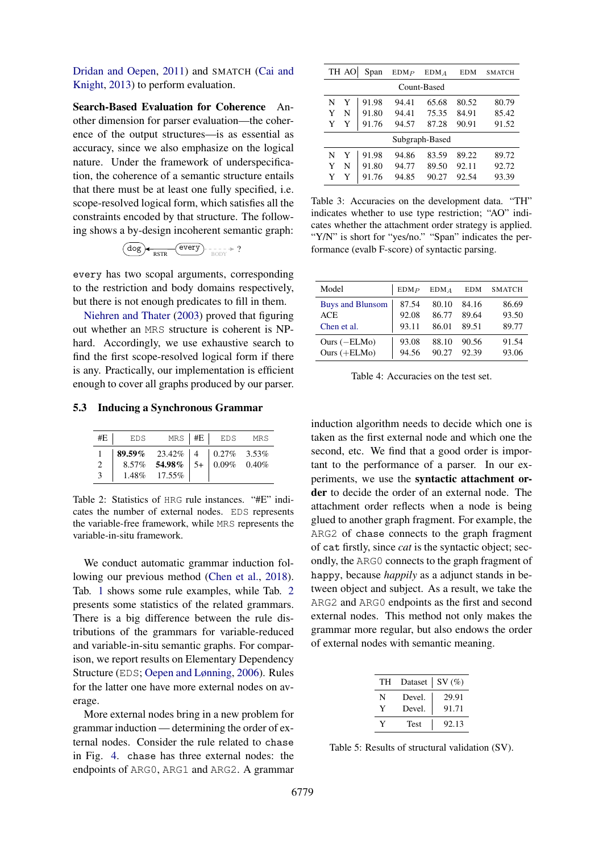[Dridan and Oepen,](#page-9-11) [2011\)](#page-9-11) and SMATCH [\(Cai and](#page-9-12) [Knight,](#page-9-12) [2013\)](#page-9-12) to perform evaluation.

Search-Based Evaluation for Coherence Another dimension for parser evaluation—the coherence of the output structures—is as essential as accuracy, since we also emphasize on the logical nature. Under the framework of underspecification, the coherence of a semantic structure entails that there must be at least one fully specified, i.e. scope-resolved logical form, which satisfies all the constraints encoded by that structure. The following shows a by-design incoherent semantic graph:

$$
(\underline{dog}) \leftarrow \underline{\text{RSTR}} \left(\underline{\text{every}}\right) \leftarrow \underline{\text{SODY}} \left(\underline{\text{SODY}}\right)
$$

every has two scopal arguments, corresponding to the restriction and body domains respectively, but there is not enough predicates to fill in them.

[Niehren and Thater](#page-10-4) [\(2003\)](#page-10-4) proved that figuring out whether an MRS structure is coherent is NPhard. Accordingly, we use exhaustive search to find the first scope-resolved logical form if there is any. Practically, our implementation is efficient enough to cover all graphs produced by our parser.

## <span id="page-7-0"></span>5.3 Inducing a Synchronous Grammar

| #E            | EDS                                                                                                                                                                                    |                 | $MRS$ $\#E$ EDS MRS |  |
|---------------|----------------------------------------------------------------------------------------------------------------------------------------------------------------------------------------|-----------------|---------------------|--|
|               | $\begin{array}{ c c c c c c } \hline {\bf 89.59\%} & {\bf 23.42\%} & 4 & 0.27\% & {\bf 3.53\%} \\ \hline {\bf 8.57\%} & {\bf 54.98\%} & {\bf 5+} & 0.09\% & 0.40\% \hline \end{array}$ |                 |                     |  |
| $\mathcal{L}$ |                                                                                                                                                                                        |                 |                     |  |
| 3             |                                                                                                                                                                                        | $1.48\%$ 17.55% |                     |  |

Table 2: Statistics of HRG rule instances. "#E" indicates the number of external nodes. EDS represents the variable-free framework, while MRS represents the variable-in-situ framework.

We conduct automatic grammar induction following our previous method [\(Chen et al.,](#page-9-8) [2018\)](#page-9-8). Tab. [1](#page-3-1) shows some rule examples, while Tab. [2](#page-7-0) presents some statistics of the related grammars. There is a big difference between the rule distributions of the grammars for variable-reduced and variable-in-situ semantic graphs. For comparison, we report results on Elementary Dependency Structure (EDS; [Oepen and Lønning,](#page-10-0) [2006\)](#page-10-0). Rules for the latter one have more external nodes on average.

More external nodes bring in a new problem for grammar induction — determining the order of external nodes. Consider the rule related to chase in Fig. [4.](#page-3-0) chase has three external nodes: the endpoints of ARG0, ARG1 and ARG2. A grammar

<span id="page-7-1"></span>

|                | TH AO       | Span  | EDMP  | $EDM_A$ | <b>EDM</b> | <b>SMATCH</b> |
|----------------|-------------|-------|-------|---------|------------|---------------|
|                | Count-Based |       |       |         |            |               |
| N              | Y           | 91.98 | 94.41 | 65.68   | 80.52      | 80.79         |
| Y              | N           | 91.80 | 94.41 | 75.35   | 84.91      | 85.42         |
| Y              | Y           | 91.76 | 94.57 | 87.28   | 90.91      | 91.52         |
| Subgraph-Based |             |       |       |         |            |               |
| N              | Y           | 91.98 | 94.86 | 83.59   | 89.22      | 89.72         |
| Y              | N           | 91.80 | 94.77 | 89.50   | 92.11      | 92.72         |
| Y              | Y           | 91.76 | 94.85 | 90.27   | 92.54      | 93.39         |

Table 3: Accuracies on the development data. "TH" indicates whether to use type restriction; "AO" indicates whether the attachment order strategy is applied. "Y/N" is short for "yes/no." "Span" indicates the performance (evalb F-score) of syntactic parsing.

<span id="page-7-2"></span>

| Model                   | EDMP  | EDMA  | <b>EDM</b> | <b>SMATCH</b> |
|-------------------------|-------|-------|------------|---------------|
| <b>Buys and Blunsom</b> | 87.54 | 80.10 | 84.16      | 86.69         |
| <b>ACE</b>              | 92.08 | 86.77 | 89.64      | 93.50         |
| Chen et al.             | 93.11 | 86.01 | 89.51      | 89.77         |
| Ours $(-ELMo)$          | 93.08 | 88.10 | 90.56      | 91.54         |
| Ours $(+ELMo)$          | 94.56 | 90.27 | 92.39      | 93.06         |

Table 4: Accuracies on the test set.

induction algorithm needs to decide which one is taken as the first external node and which one the second, etc. We find that a good order is important to the performance of a parser. In our experiments, we use the syntactic attachment order to decide the order of an external node. The attachment order reflects when a node is being glued to another graph fragment. For example, the ARG2 of chase connects to the graph fragment of cat firstly, since *cat* is the syntactic object; secondly, the ARG0 connects to the graph fragment of happy, because *happily* as a adjunct stands in between object and subject. As a result, we take the ARG2 and ARG0 endpoints as the first and second external nodes. This method not only makes the grammar more regular, but also endows the order of external nodes with semantic meaning.

<span id="page-7-3"></span>

| TH | Dataset   SV $(\%)$ |       |
|----|---------------------|-------|
| N  | Devel.              | 29.91 |
| Y  | Devel.              | 91.71 |
|    | <b>Test</b>         | 92.13 |

Table 5: Results of structural validation (SV).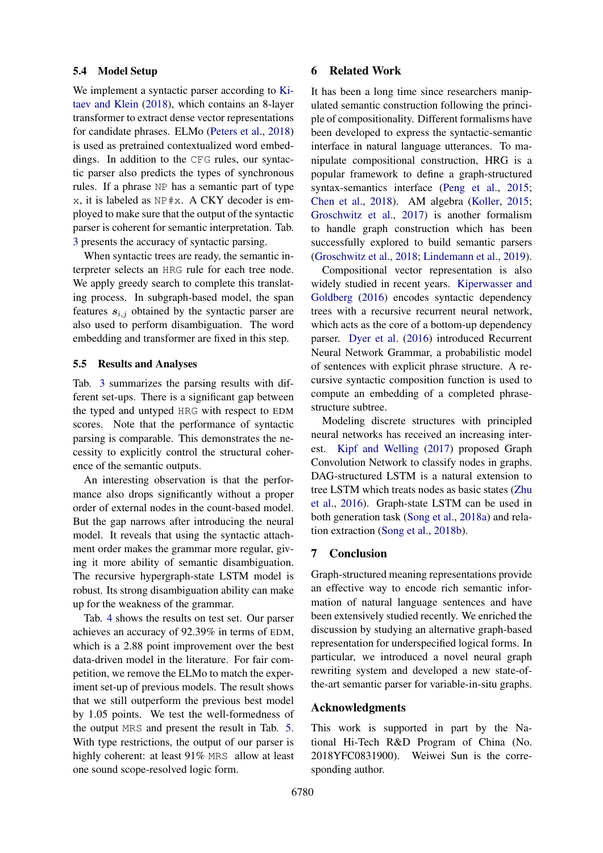#### 5.4 Model Setup

We implement a syntactic parser according to [Ki](#page-9-13)[taev and Klein](#page-9-13) [\(2018\)](#page-9-13), which contains an 8-layer transformer to extract dense vector representations for candidate phrases. ELMo [\(Peters et al.,](#page-10-10) [2018\)](#page-10-10) is used as pretrained contextualized word embeddings. In addition to the CFG rules, our syntactic parser also predicts the types of synchronous rules. If a phrase NP has a semantic part of type x, it is labeled as NP#x. A CKY decoder is employed to make sure that the output of the syntactic parser is coherent for semantic interpretation. Tab. [3](#page-7-1) presents the accuracy of syntactic parsing.

When syntactic trees are ready, the semantic interpreter selects an HRG rule for each tree node. We apply greedy search to complete this translating process. In subgraph-based model, the span features  $s_{i,j}$  obtained by the syntactic parser are also used to perform disambiguation. The word embedding and transformer are fixed in this step.

## 5.5 Results and Analyses

Tab. [3](#page-7-1) summarizes the parsing results with different set-ups. There is a significant gap between the typed and untyped HRG with respect to EDM scores. Note that the performance of syntactic parsing is comparable. This demonstrates the necessity to explicitly control the structural coherence of the semantic outputs.

An interesting observation is that the performance also drops significantly without a proper order of external nodes in the count-based model. But the gap narrows after introducing the neural model. It reveals that using the syntactic attachment order makes the grammar more regular, giving it more ability of semantic disambiguation. The recursive hypergraph-state LSTM model is robust. Its strong disambiguation ability can make up for the weakness of the grammar.

Tab. [4](#page-7-2) shows the results on test set. Our parser achieves an accuracy of 92.39% in terms of EDM, which is a 2.88 point improvement over the best data-driven model in the literature. For fair competition, we remove the ELMo to match the experiment set-up of previous models. The result shows that we still outperform the previous best model by 1.05 points. We test the well-formedness of the output MRS and present the result in Tab. [5.](#page-7-3) With type restrictions, the output of our parser is highly coherent: at least 91% MRS allow at least one sound scope-resolved logic form.

#### 6 Related Work

It has been a long time since researchers manipulated semantic construction following the principle of compositionality. Different formalisms have been developed to express the syntactic-semantic interface in natural language utterances. To manipulate compositional construction, HRG is a popular framework to define a graph-structured syntax-semantics interface [\(Peng et al.,](#page-10-5) [2015;](#page-10-5) [Chen et al.,](#page-9-8) [2018\)](#page-9-8). AM algebra [\(Koller,](#page-10-11) [2015;](#page-10-11) [Groschwitz et al.,](#page-9-14) [2017\)](#page-9-14) is another formalism to handle graph construction which has been successfully explored to build semantic parsers [\(Groschwitz et al.,](#page-9-15) [2018;](#page-9-15) [Lindemann et al.,](#page-10-12) [2019\)](#page-10-12).

Compositional vector representation is also widely studied in recent years. [Kiperwasser and](#page-9-16) [Goldberg](#page-9-16) [\(2016\)](#page-9-16) encodes syntactic dependency trees with a recursive recurrent neural network, which acts as the core of a bottom-up dependency parser. [Dyer et al.](#page-9-17) [\(2016\)](#page-9-17) introduced Recurrent Neural Network Grammar, a probabilistic model of sentences with explicit phrase structure. A recursive syntactic composition function is used to compute an embedding of a completed phrasestructure subtree.

Modeling discrete structures with principled neural networks has received an increasing interest. [Kipf and Welling](#page-9-18) [\(2017\)](#page-9-18) proposed Graph Convolution Network to classify nodes in graphs. DAG-structured LSTM is a natural extension to tree LSTM which treats nodes as basic states [\(Zhu](#page-10-13) [et al.,](#page-10-13) [2016\)](#page-10-13). Graph-state LSTM can be used in both generation task [\(Song et al.,](#page-10-1) [2018a\)](#page-10-1) and relation extraction [\(Song et al.,](#page-10-14) [2018b\)](#page-10-14).

## 7 Conclusion

Graph-structured meaning representations provide an effective way to encode rich semantic information of natural language sentences and have been extensively studied recently. We enriched the discussion by studying an alternative graph-based representation for underspecified logical forms. In particular, we introduced a novel neural graph rewriting system and developed a new state-ofthe-art semantic parser for variable-in-situ graphs.

## Acknowledgments

This work is supported in part by the National Hi-Tech R&D Program of China (No. 2018YFC0831900). Weiwei Sun is the corresponding author.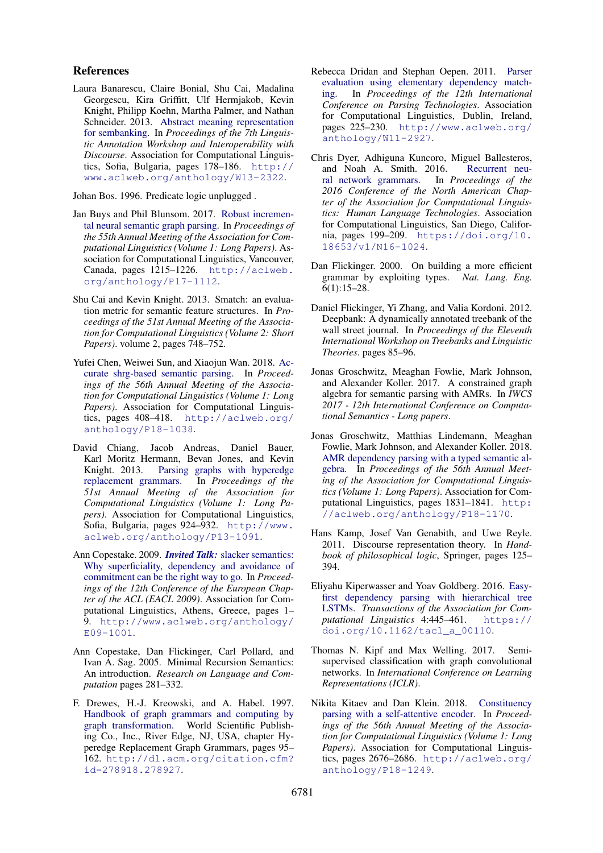#### References

<span id="page-9-0"></span>Laura Banarescu, Claire Bonial, Shu Cai, Madalina Georgescu, Kira Griffitt, Ulf Hermjakob, Kevin Knight, Philipp Koehn, Martha Palmer, and Nathan Schneider. 2013. [Abstract meaning representation](http://www.aclweb.org/anthology/W13-2322) [for sembanking.](http://www.aclweb.org/anthology/W13-2322) In *Proceedings of the 7th Linguistic Annotation Workshop and Interoperability with Discourse*. Association for Computational Linguistics, Sofia, Bulgaria, pages 178–186. [http://](http://www.aclweb.org/anthology/W13-2322) [www.aclweb.org/anthology/W13-2322](http://www.aclweb.org/anthology/W13-2322).

<span id="page-9-6"></span>Johan Bos. 1996. Predicate logic unplugged .

- <span id="page-9-10"></span>Jan Buys and Phil Blunsom. 2017. [Robust incremen](http://aclweb.org/anthology/P17-1112)[tal neural semantic graph parsing.](http://aclweb.org/anthology/P17-1112) In *Proceedings of the 55th Annual Meeting of the Association for Computational Linguistics (Volume 1: Long Papers)*. Association for Computational Linguistics, Vancouver, Canada, pages 1215–1226. [http://aclweb.](http://aclweb.org/anthology/P17-1112) [org/anthology/P17-1112](http://aclweb.org/anthology/P17-1112).
- <span id="page-9-12"></span>Shu Cai and Kevin Knight. 2013. Smatch: an evaluation metric for semantic feature structures. In *Proceedings of the 51st Annual Meeting of the Association for Computational Linguistics (Volume 2: Short Papers)*. volume 2, pages 748–752.
- <span id="page-9-8"></span>Yufei Chen, Weiwei Sun, and Xiaojun Wan. 2018. [Ac](http://aclweb.org/anthology/P18-1038)[curate shrg-based semantic parsing.](http://aclweb.org/anthology/P18-1038) In *Proceedings of the 56th Annual Meeting of the Association for Computational Linguistics (Volume 1: Long Papers)*. Association for Computational Linguistics, pages 408–418. [http://aclweb.org/](http://aclweb.org/anthology/P18-1038) [anthology/P18-1038](http://aclweb.org/anthology/P18-1038).
- <span id="page-9-7"></span>David Chiang, Jacob Andreas, Daniel Bauer, Karl Moritz Hermann, Bevan Jones, and Kevin Knight. 2013. [Parsing graphs with hyperedge](http://www.aclweb.org/anthology/P13-1091) [replacement grammars.](http://www.aclweb.org/anthology/P13-1091) In *Proceedings of the 51st Annual Meeting of the Association for Computational Linguistics (Volume 1: Long Papers)*. Association for Computational Linguistics, Sofia, Bulgaria, pages 924–932. [http://www.](http://www.aclweb.org/anthology/P13-1091) [aclweb.org/anthology/P13-1091](http://www.aclweb.org/anthology/P13-1091).
- <span id="page-9-4"></span>Ann Copestake. 2009. *Invited Talk:* [slacker semantics:](http://www.aclweb.org/anthology/E09-1001) [Why superficiality, dependency and avoidance of](http://www.aclweb.org/anthology/E09-1001) [commitment can be the right way to go.](http://www.aclweb.org/anthology/E09-1001) In *Proceedings of the 12th Conference of the European Chapter of the ACL (EACL 2009)*. Association for Computational Linguistics, Athens, Greece, pages 1– 9. [http://www.aclweb.org/anthology/](http://www.aclweb.org/anthology/E09-1001) [E09-1001](http://www.aclweb.org/anthology/E09-1001).
- <span id="page-9-2"></span>Ann Copestake, Dan Flickinger, Carl Pollard, and Ivan A. Sag. 2005. Minimal Recursion Semantics: An introduction. *Research on Language and Computation* pages 281–332.
- <span id="page-9-1"></span>F. Drewes, H.-J. Kreowski, and A. Habel. 1997. [Handbook of graph grammars and computing by](http://dl.acm.org/citation.cfm?id=278918.278927) [graph transformation.](http://dl.acm.org/citation.cfm?id=278918.278927) World Scientific Publishing Co., Inc., River Edge, NJ, USA, chapter Hyperedge Replacement Graph Grammars, pages 95– 162. [http://dl.acm.org/citation.cfm?](http://dl.acm.org/citation.cfm?id=278918.278927) [id=278918.278927](http://dl.acm.org/citation.cfm?id=278918.278927).
- <span id="page-9-11"></span>Rebecca Dridan and Stephan Oepen. 2011. [Parser](http://www.aclweb.org/anthology/W11-2927) [evaluation using elementary dependency match](http://www.aclweb.org/anthology/W11-2927)[ing.](http://www.aclweb.org/anthology/W11-2927) In *Proceedings of the 12th International Conference on Parsing Technologies*. Association for Computational Linguistics, Dublin, Ireland, pages 225–230. [http://www.aclweb.org/](http://www.aclweb.org/anthology/W11-2927) [anthology/W11-2927](http://www.aclweb.org/anthology/W11-2927).
- <span id="page-9-17"></span>Chris Dyer, Adhiguna Kuncoro, Miguel Ballesteros, and Noah A. Smith. 2016. [Recurrent neu](https://doi.org/10.18653/v1/N16-1024)[ral network grammars.](https://doi.org/10.18653/v1/N16-1024) In *Proceedings of the 2016 Conference of the North American Chapter of the Association for Computational Linguistics: Human Language Technologies*. Association for Computational Linguistics, San Diego, California, pages 199–209. [https://doi.org/10.](https://doi.org/10.18653/v1/N16-1024) [18653/v1/N16-1024](https://doi.org/10.18653/v1/N16-1024).
- <span id="page-9-9"></span>Dan Flickinger. 2000. On building a more efficient grammar by exploiting types. *Nat. Lang. Eng.* 6(1):15–28.
- <span id="page-9-3"></span>Daniel Flickinger, Yi Zhang, and Valia Kordoni. 2012. Deepbank: A dynamically annotated treebank of the wall street journal. In *Proceedings of the Eleventh International Workshop on Treebanks and Linguistic Theories*. pages 85–96.
- <span id="page-9-14"></span>Jonas Groschwitz, Meaghan Fowlie, Mark Johnson, and Alexander Koller. 2017. A constrained graph algebra for semantic parsing with AMRs. In *IWCS 2017 - 12th International Conference on Computational Semantics - Long papers*.
- <span id="page-9-15"></span>Jonas Groschwitz, Matthias Lindemann, Meaghan Fowlie, Mark Johnson, and Alexander Koller. 2018. [AMR dependency parsing with a typed semantic al](http://aclweb.org/anthology/P18-1170)[gebra.](http://aclweb.org/anthology/P18-1170) In *Proceedings of the 56th Annual Meeting of the Association for Computational Linguistics (Volume 1: Long Papers)*. Association for Computational Linguistics, pages 1831–1841. [http:](http://aclweb.org/anthology/P18-1170) [//aclweb.org/anthology/P18-1170](http://aclweb.org/anthology/P18-1170).
- <span id="page-9-5"></span>Hans Kamp, Josef Van Genabith, and Uwe Reyle. 2011. Discourse representation theory. In *Handbook of philosophical logic*, Springer, pages 125– 394.
- <span id="page-9-16"></span>Eliyahu Kiperwasser and Yoav Goldberg. 2016. [Easy](https://doi.org/10.1162/tacl_a_00110)[first dependency parsing with hierarchical tree](https://doi.org/10.1162/tacl_a_00110) [LSTMs.](https://doi.org/10.1162/tacl_a_00110) *Transactions of the Association for Computational Linguistics* 4:445–461. [https://](https://doi.org/10.1162/tacl_a_00110) [doi.org/10.1162/tacl\\_a\\_00110](https://doi.org/10.1162/tacl_a_00110).
- <span id="page-9-18"></span>Thomas N. Kipf and Max Welling. 2017. Semisupervised classification with graph convolutional networks. In *International Conference on Learning Representations (ICLR)*.
- <span id="page-9-13"></span>Nikita Kitaev and Dan Klein. 2018. [Constituency](http://aclweb.org/anthology/P18-1249) [parsing with a self-attentive encoder.](http://aclweb.org/anthology/P18-1249) In *Proceedings of the 56th Annual Meeting of the Association for Computational Linguistics (Volume 1: Long Papers)*. Association for Computational Linguistics, pages 2676–2686. [http://aclweb.org/](http://aclweb.org/anthology/P18-1249) [anthology/P18-1249](http://aclweb.org/anthology/P18-1249).